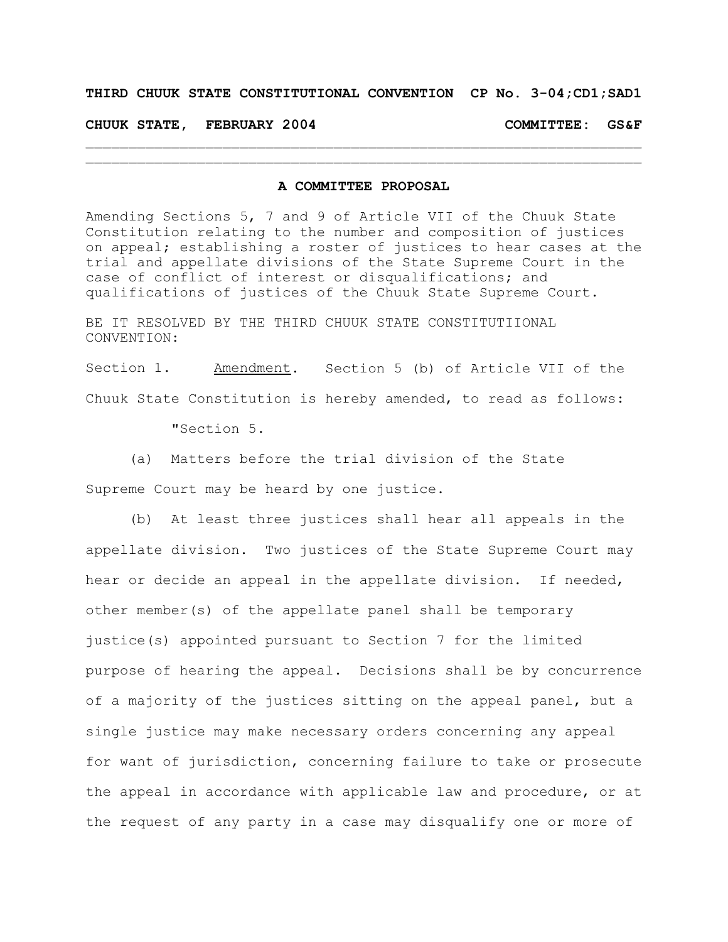## **THIRD CHUUK STATE CONSTITUTIONAL CONVENTION CP No. 3-04;CD1;SAD1**

## **CHUUK STATE, FEBRUARY 2004 COMMITTEE: GS&F**

## **A COMMITTEE PROPOSAL**

 $\mathcal{L}_\text{max} = \mathcal{L}_\text{max} = \mathcal{L}_\text{max} = \mathcal{L}_\text{max} = \mathcal{L}_\text{max} = \mathcal{L}_\text{max} = \mathcal{L}_\text{max} = \mathcal{L}_\text{max} = \mathcal{L}_\text{max} = \mathcal{L}_\text{max} = \mathcal{L}_\text{max} = \mathcal{L}_\text{max} = \mathcal{L}_\text{max} = \mathcal{L}_\text{max} = \mathcal{L}_\text{max} = \mathcal{L}_\text{max} = \mathcal{L}_\text{max} = \mathcal{L}_\text{max} = \mathcal{$  $\mathcal{L}_\text{max} = \mathcal{L}_\text{max} = \mathcal{L}_\text{max} = \mathcal{L}_\text{max} = \mathcal{L}_\text{max} = \mathcal{L}_\text{max} = \mathcal{L}_\text{max} = \mathcal{L}_\text{max} = \mathcal{L}_\text{max} = \mathcal{L}_\text{max} = \mathcal{L}_\text{max} = \mathcal{L}_\text{max} = \mathcal{L}_\text{max} = \mathcal{L}_\text{max} = \mathcal{L}_\text{max} = \mathcal{L}_\text{max} = \mathcal{L}_\text{max} = \mathcal{L}_\text{max} = \mathcal{$ 

Amending Sections 5, 7 and 9 of Article VII of the Chuuk State Constitution relating to the number and composition of justices on appeal; establishing a roster of justices to hear cases at the trial and appellate divisions of the State Supreme Court in the case of conflict of interest or disqualifications; and qualifications of justices of the Chuuk State Supreme Court.

BE IT RESOLVED BY THE THIRD CHUUK STATE CONSTITUTIIONAL CONVENTION:

Section 1. Amendment. Section 5 (b) of Article VII of the Chuuk State Constitution is hereby amended, to read as follows:

"Section 5.

(a) Matters before the trial division of the State

Supreme Court may be heard by one justice.

(b) At least three justices shall hear all appeals in the appellate division. Two justices of the State Supreme Court may hear or decide an appeal in the appellate division. If needed, other member(s) of the appellate panel shall be temporary justice(s) appointed pursuant to Section 7 for the limited purpose of hearing the appeal. Decisions shall be by concurrence of a majority of the justices sitting on the appeal panel, but a single justice may make necessary orders concerning any appeal for want of jurisdiction, concerning failure to take or prosecute the appeal in accordance with applicable law and procedure, or at the request of any party in a case may disqualify one or more of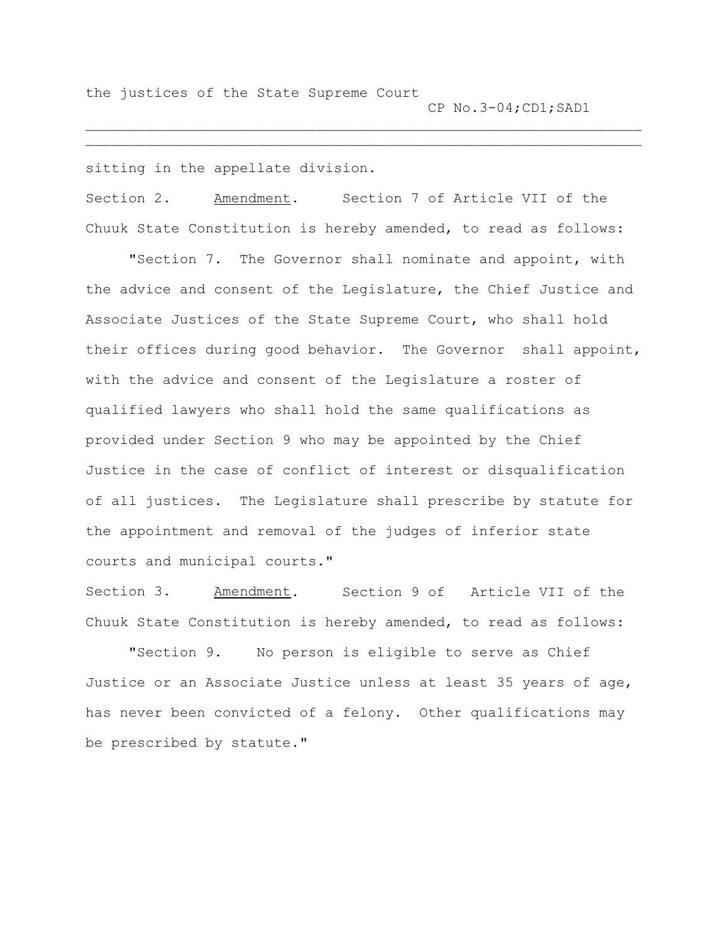the justices of the State Supreme Court CP No.3-04;CD1;SAD1

sitting in the appellate division.

Section 2. Amendment. Section 7 of Article VII of the Chuuk State Constitution is hereby amended, to read as follows:

 $\mathcal{L}_\text{max} = \mathcal{L}_\text{max} = \mathcal{L}_\text{max} = \mathcal{L}_\text{max} = \mathcal{L}_\text{max} = \mathcal{L}_\text{max} = \mathcal{L}_\text{max} = \mathcal{L}_\text{max} = \mathcal{L}_\text{max} = \mathcal{L}_\text{max} = \mathcal{L}_\text{max} = \mathcal{L}_\text{max} = \mathcal{L}_\text{max} = \mathcal{L}_\text{max} = \mathcal{L}_\text{max} = \mathcal{L}_\text{max} = \mathcal{L}_\text{max} = \mathcal{L}_\text{max} = \mathcal{$  $\mathcal{L}_\text{max} = \mathcal{L}_\text{max} = \mathcal{L}_\text{max} = \mathcal{L}_\text{max} = \mathcal{L}_\text{max} = \mathcal{L}_\text{max} = \mathcal{L}_\text{max} = \mathcal{L}_\text{max} = \mathcal{L}_\text{max} = \mathcal{L}_\text{max} = \mathcal{L}_\text{max} = \mathcal{L}_\text{max} = \mathcal{L}_\text{max} = \mathcal{L}_\text{max} = \mathcal{L}_\text{max} = \mathcal{L}_\text{max} = \mathcal{L}_\text{max} = \mathcal{L}_\text{max} = \mathcal{$ 

"Section 7. The Governor shall nominate and appoint, with the advice and consent of the Legislature, the Chief Justice and Associate Justices of the State Supreme Court, who shall hold their offices during good behavior. The Governor shall appoint, with the advice and consent of the Legislature a roster of qualified lawyers who shall hold the same qualifications as provided under Section 9 who may be appointed by the Chief Justice in the case of conflict of interest or disqualification of all justices. The Legislature shall prescribe by statute for the appointment and removal of the judges of inferior state courts and municipal courts."

Section 3. Amendment. Section 9 of Article VII of the Chuuk State Constitution is hereby amended, to read as follows:

"Section 9. No person is eligible to serve as Chief Justice or an Associate Justice unless at least 35 years of age, has never been convicted of a felony. Other qualifications may be prescribed by statute."